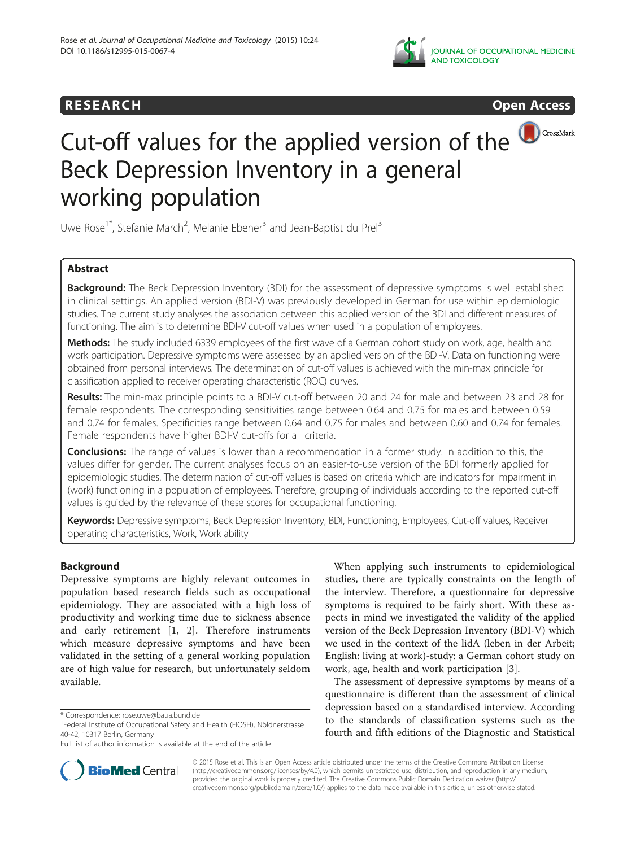

# **RESEARCH CHINESEARCH CHINESEARCH CHINESE**



Uwe Rose<sup>1\*</sup>, Stefanie March<sup>2</sup>, Melanie Ebener<sup>3</sup> and Jean-Baptist du Prel<sup>3</sup>

## Abstract

Background: The Beck Depression Inventory (BDI) for the assessment of depressive symptoms is well established in clinical settings. An applied version (BDI-V) was previously developed in German for use within epidemiologic studies. The current study analyses the association between this applied version of the BDI and different measures of functioning. The aim is to determine BDI-V cut-off values when used in a population of employees.

Methods: The study included 6339 employees of the first wave of a German cohort study on work, age, health and work participation. Depressive symptoms were assessed by an applied version of the BDI-V. Data on functioning were obtained from personal interviews. The determination of cut-off values is achieved with the min-max principle for classification applied to receiver operating characteristic (ROC) curves.

Results: The min-max principle points to a BDI-V cut-off between 20 and 24 for male and between 23 and 28 for female respondents. The corresponding sensitivities range between 0.64 and 0.75 for males and between 0.59 and 0.74 for females. Specificities range between 0.64 and 0.75 for males and between 0.60 and 0.74 for females. Female respondents have higher BDI-V cut-offs for all criteria.

**Conclusions:** The range of values is lower than a recommendation in a former study. In addition to this, the values differ for gender. The current analyses focus on an easier-to-use version of the BDI formerly applied for epidemiologic studies. The determination of cut-off values is based on criteria which are indicators for impairment in (work) functioning in a population of employees. Therefore, grouping of individuals according to the reported cut-off values is guided by the relevance of these scores for occupational functioning.

Keywords: Depressive symptoms, Beck Depression Inventory, BDI, Functioning, Employees, Cut-off values, Receiver operating characteristics, Work, Work ability

## Background

Depressive symptoms are highly relevant outcomes in population based research fields such as occupational epidemiology. They are associated with a high loss of productivity and working time due to sickness absence and early retirement [\[1](#page-7-0), [2\]](#page-7-0). Therefore instruments which measure depressive symptoms and have been validated in the setting of a general working population are of high value for research, but unfortunately seldom available.

When applying such instruments to epidemiological studies, there are typically constraints on the length of the interview. Therefore, a questionnaire for depressive symptoms is required to be fairly short. With these aspects in mind we investigated the validity of the applied version of the Beck Depression Inventory (BDI-V) which we used in the context of the lidA (leben in der Arbeit; English: living at work)-study: a German cohort study on work, age, health and work participation [[3\]](#page-7-0).

The assessment of depressive symptoms by means of a questionnaire is different than the assessment of clinical depression based on a standardised interview. According to the standards of classification systems such as the fourth and fifth editions of the Diagnostic and Statistical



© 2015 Rose et al. This is an Open Access article distributed under the terms of the Creative Commons Attribution License [\(http://creativecommons.org/licenses/by/4.0\)](http://creativecommons.org/licenses/by/4.0), which permits unrestricted use, distribution, and reproduction in any medium, provided the original work is properly credited. The Creative Commons Public Domain Dedication waiver [\(http://](http://creativecommons.org/publicdomain/zero/1.0/) [creativecommons.org/publicdomain/zero/1.0/\)](http://creativecommons.org/publicdomain/zero/1.0/) applies to the data made available in this article, unless otherwise stated.

<sup>\*</sup> Correspondence: [rose.uwe@baua.bund.de](mailto:rose.uwe@baua.bund.de) <sup>1</sup>

<sup>&</sup>lt;sup>1</sup>Federal Institute of Occupational Safety and Health (FIOSH), Nöldnerstrasse 40-42, 10317 Berlin, Germany

Full list of author information is available at the end of the article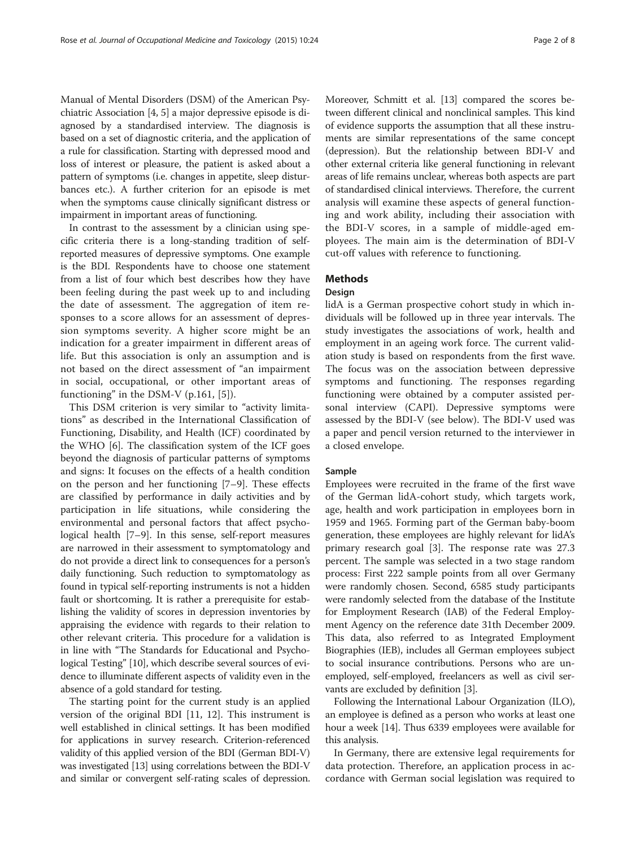Manual of Mental Disorders (DSM) of the American Psychiatric Association [\[4](#page-7-0), [5\]](#page-7-0) a major depressive episode is diagnosed by a standardised interview. The diagnosis is based on a set of diagnostic criteria, and the application of a rule for classification. Starting with depressed mood and loss of interest or pleasure, the patient is asked about a pattern of symptoms (i.e. changes in appetite, sleep disturbances etc.). A further criterion for an episode is met when the symptoms cause clinically significant distress or impairment in important areas of functioning.

In contrast to the assessment by a clinician using specific criteria there is a long-standing tradition of selfreported measures of depressive symptoms. One example is the BDI. Respondents have to choose one statement from a list of four which best describes how they have been feeling during the past week up to and including the date of assessment. The aggregation of item responses to a score allows for an assessment of depression symptoms severity. A higher score might be an indication for a greater impairment in different areas of life. But this association is only an assumption and is not based on the direct assessment of "an impairment in social, occupational, or other important areas of functioning" in the DSM-V (p.161, [\[5](#page-7-0)]).

This DSM criterion is very similar to "activity limitations" as described in the International Classification of Functioning, Disability, and Health (ICF) coordinated by the WHO [\[6](#page-7-0)]. The classification system of the ICF goes beyond the diagnosis of particular patterns of symptoms and signs: It focuses on the effects of a health condition on the person and her functioning [[7](#page-7-0)–[9\]](#page-7-0). These effects are classified by performance in daily activities and by participation in life situations, while considering the environmental and personal factors that affect psychological health [\[7](#page-7-0)–[9\]](#page-7-0). In this sense, self-report measures are narrowed in their assessment to symptomatology and do not provide a direct link to consequences for a person's daily functioning. Such reduction to symptomatology as found in typical self-reporting instruments is not a hidden fault or shortcoming. It is rather a prerequisite for establishing the validity of scores in depression inventories by appraising the evidence with regards to their relation to other relevant criteria. This procedure for a validation is in line with "The Standards for Educational and Psychological Testing" [\[10\]](#page-7-0), which describe several sources of evidence to illuminate different aspects of validity even in the absence of a gold standard for testing.

The starting point for the current study is an applied version of the original BDI [[11](#page-7-0), [12\]](#page-7-0). This instrument is well established in clinical settings. It has been modified for applications in survey research. Criterion-referenced validity of this applied version of the BDI (German BDI-V) was investigated [\[13\]](#page-7-0) using correlations between the BDI-V and similar or convergent self-rating scales of depression. Moreover, Schmitt et al. [[13\]](#page-7-0) compared the scores between different clinical and nonclinical samples. This kind of evidence supports the assumption that all these instruments are similar representations of the same concept (depression). But the relationship between BDI-V and other external criteria like general functioning in relevant areas of life remains unclear, whereas both aspects are part of standardised clinical interviews. Therefore, the current analysis will examine these aspects of general functioning and work ability, including their association with the BDI-V scores, in a sample of middle-aged employees. The main aim is the determination of BDI-V cut-off values with reference to functioning.

### Methods

### Design

lidA is a German prospective cohort study in which individuals will be followed up in three year intervals. The study investigates the associations of work, health and employment in an ageing work force. The current validation study is based on respondents from the first wave. The focus was on the association between depressive symptoms and functioning. The responses regarding functioning were obtained by a computer assisted personal interview (CAPI). Depressive symptoms were assessed by the BDI-V (see below). The BDI-V used was a paper and pencil version returned to the interviewer in a closed envelope.

#### Sample

Employees were recruited in the frame of the first wave of the German lidA-cohort study, which targets work, age, health and work participation in employees born in 1959 and 1965. Forming part of the German baby-boom generation, these employees are highly relevant for lidA's primary research goal [\[3\]](#page-7-0). The response rate was 27.3 percent. The sample was selected in a two stage random process: First 222 sample points from all over Germany were randomly chosen. Second, 6585 study participants were randomly selected from the database of the Institute for Employment Research (IAB) of the Federal Employment Agency on the reference date 31th December 2009. This data, also referred to as Integrated Employment Biographies (IEB), includes all German employees subject to social insurance contributions. Persons who are unemployed, self-employed, freelancers as well as civil servants are excluded by definition [\[3](#page-7-0)].

Following the International Labour Organization (ILO), an employee is defined as a person who works at least one hour a week [\[14\]](#page-7-0). Thus 6339 employees were available for this analysis.

In Germany, there are extensive legal requirements for data protection. Therefore, an application process in accordance with German social legislation was required to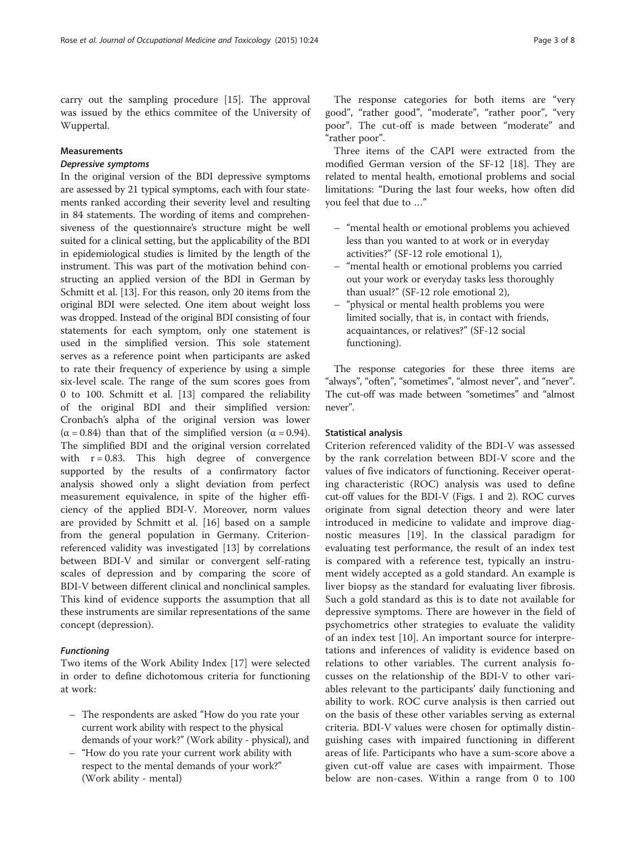carry out the sampling procedure [\[15\]](#page-7-0). The approval was issued by the ethics commitee of the University of Wuppertal.

#### Measurements

In the original version of the BDI depressive symptoms are assessed by 21 typical symptoms, each with four statements ranked according their severity level and resulting in 84 statements. The wording of items and comprehensiveness of the questionnaire's structure might be well suited for a clinical setting, but the applicability of the BDI in epidemiological studies is limited by the length of the instrument. This was part of the motivation behind constructing an applied version of the BDI in German by Schmitt et al. [[13](#page-7-0)]. For this reason, only 20 items from the original BDI were selected. One item about weight loss was dropped. Instead of the original BDI consisting of four statements for each symptom, only one statement is used in the simplified version. This sole statement serves as a reference point when participants are asked to rate their frequency of experience by using a simple six-level scale. The range of the sum scores goes from 0 to 100. Schmitt et al. [\[13\]](#page-7-0) compared the reliability of the original BDI and their simplified version: Cronbach's alpha of the original version was lower ( $\alpha$  = 0.84) than that of the simplified version ( $\alpha$  = 0.94). The simplified BDI and the original version correlated with  $r = 0.83$ . This high degree of convergence supported by the results of a confirmatory factor analysis showed only a slight deviation from perfect measurement equivalence, in spite of the higher efficiency of the applied BDI-V. Moreover, norm values are provided by Schmitt et al. [\[16\]](#page-7-0) based on a sample from the general population in Germany. Criterionreferenced validity was investigated [[13](#page-7-0)] by correlations between BDI-V and similar or convergent self-rating scales of depression and by comparing the score of BDI-V between different clinical and nonclinical samples. This kind of evidence supports the assumption that all these instruments are similar representations of the same concept (depression).

Two items of the Work Ability Index [\[17\]](#page-7-0) were selected in order to define dichotomous criteria for functioning at work:

- The respondents are asked "How do you rate your current work ability with respect to the physical demands of your work?" (Work ability - physical), and
- "How do you rate your current work ability with respect to the mental demands of your work?" (Work ability - mental)

The response categories for both items are "very good", "rather good", "moderate", "rather poor", "very poor". The cut-off is made between "moderate" and "rather poor".

Three items of the CAPI were extracted from the modified German version of the SF-12 [[18](#page-7-0)]. They are related to mental health, emotional problems and social limitations: "During the last four weeks, how often did you feel that due to …"

- "mental health or emotional problems you achieved less than you wanted to at work or in everyday activities?" (SF-12 role emotional 1),
- "mental health or emotional problems you carried out your work or everyday tasks less thoroughly than usual?" (SF-12 role emotional 2),
- "physical or mental health problems you were limited socially, that is, in contact with friends, acquaintances, or relatives?" (SF-12 social functioning).

The response categories for these three items are "always", "often", "sometimes", "almost never", and "never". The cut-off was made between "sometimes" and "almost never".

#### Statistical analysis

Criterion referenced validity of the BDI-V was assessed by the rank correlation between BDI-V score and the values of five indicators of functioning. Receiver operating characteristic (ROC) analysis was used to define cut-off values for the BDI-V (Figs. [1](#page-3-0) and [2](#page-3-0)). ROC curves originate from signal detection theory and were later introduced in medicine to validate and improve diagnostic measures [\[19](#page-7-0)]. In the classical paradigm for evaluating test performance, the result of an index test is compared with a reference test, typically an instrument widely accepted as a gold standard. An example is liver biopsy as the standard for evaluating liver fibrosis. Such a gold standard as this is to date not available for depressive symptoms. There are however in the field of psychometrics other strategies to evaluate the validity of an index test [[10\]](#page-7-0). An important source for interpretations and inferences of validity is evidence based on relations to other variables. The current analysis focusses on the relationship of the BDI-V to other variables relevant to the participants' daily functioning and ability to work. ROC curve analysis is then carried out on the basis of these other variables serving as external criteria. BDI-V values were chosen for optimally distinguishing cases with impaired functioning in different areas of life. Participants who have a sum-score above a given cut-off value are cases with impairment. Those below are non-cases. Within a range from 0 to 100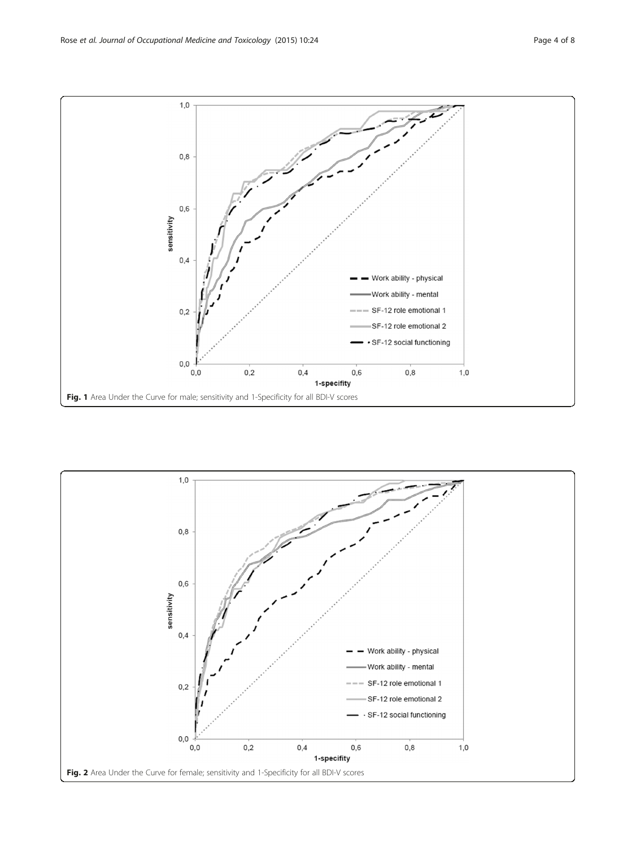<span id="page-3-0"></span>Rose et al. Journal of Occupational Medicine and Toxicology (2015) 10:24 Page 4 of 8



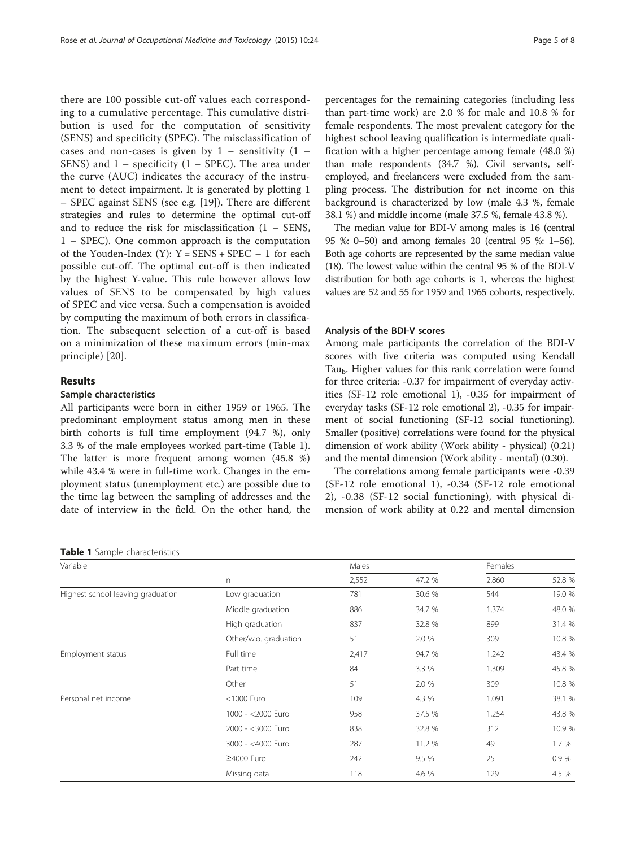there are 100 possible cut-off values each corresponding to a cumulative percentage. This cumulative distribution is used for the computation of sensitivity (SENS) and specificity (SPEC). The misclassification of cases and non-cases is given by  $1$  – sensitivity  $(1 -$ SENS) and  $1$  – specificity ( $1$  – SPEC). The area under the curve (AUC) indicates the accuracy of the instrument to detect impairment. It is generated by plotting 1 – SPEC against SENS (see e.g. [\[19](#page-7-0)]). There are different strategies and rules to determine the optimal cut-off and to reduce the risk for misclassification  $(1 -$  SENS, 1 – SPEC). One common approach is the computation of the Youden-Index  $(Y)$ :  $Y = SENS + SPEC - 1$  for each possible cut-off. The optimal cut-off is then indicated by the highest Y-value. This rule however allows low values of SENS to be compensated by high values of SPEC and vice versa. Such a compensation is avoided by computing the maximum of both errors in classification. The subsequent selection of a cut-off is based on a minimization of these maximum errors (min-max principle) [[20](#page-7-0)].

#### Results

#### Sample characteristics

All participants were born in either 1959 or 1965. The predominant employment status among men in these birth cohorts is full time employment (94.7 %), only 3.3 % of the male employees worked part-time (Table 1). The latter is more frequent among women (45.8 %) while 43.4 % were in full-time work. Changes in the employment status (unemployment etc.) are possible due to the time lag between the sampling of addresses and the date of interview in the field. On the other hand, the

Table 1 Sample characteristics

percentages for the remaining categories (including less than part-time work) are 2.0 % for male and 10.8 % for female respondents. The most prevalent category for the highest school leaving qualification is intermediate qualification with a higher percentage among female (48.0 %) than male respondents (34.7 %). Civil servants, selfemployed, and freelancers were excluded from the sampling process. The distribution for net income on this background is characterized by low (male 4.3 %, female 38.1 %) and middle income (male 37.5 %, female 43.8 %).

The median value for BDI-V among males is 16 (central 95 %: 0–50) and among females 20 (central 95 %: 1–56). Both age cohorts are represented by the same median value (18). The lowest value within the central 95 % of the BDI-V distribution for both age cohorts is 1, whereas the highest values are 52 and 55 for 1959 and 1965 cohorts, respectively.

#### Analysis of the BDI-V scores

Among male participants the correlation of the BDI-V scores with five criteria was computed using Kendall Tau<sub>b</sub>. Higher values for this rank correlation were found for three criteria: -0.37 for impairment of everyday activities (SF-12 role emotional 1), -0.35 for impairment of everyday tasks (SF-12 role emotional 2), -0.35 for impairment of social functioning (SF-12 social functioning). Smaller (positive) correlations were found for the physical dimension of work ability (Work ability - physical) (0.21) and the mental dimension (Work ability - mental) (0.30).

The correlations among female participants were -0.39 (SF-12 role emotional 1), -0.34 (SF-12 role emotional 2), -0.38 (SF-12 social functioning), with physical dimension of work ability at 0.22 and mental dimension

| Variable                          |                       | Males |        | Females |        |
|-----------------------------------|-----------------------|-------|--------|---------|--------|
|                                   | $\Gamma$              | 2,552 | 47.2 % | 2,860   | 52.8 % |
| Highest school leaving graduation | Low graduation        | 781   | 30.6 % | 544     | 19.0 % |
|                                   | Middle graduation     | 886   | 34.7 % | 1,374   | 48.0 % |
|                                   | High graduation       | 837   | 32.8 % | 899     | 31.4 % |
|                                   | Other/w.o. graduation | 51    | 2.0 %  | 309     | 10.8 % |
| Employment status                 | Full time             | 2,417 | 94.7 % | 1,242   | 43.4 % |
|                                   | Part time             | 84    | 3.3 %  | 1,309   | 45.8 % |
|                                   | Other                 | 51    | 2.0 %  | 309     | 10.8 % |
| Personal net income               | <1000 Euro            | 109   | 4.3 %  | 1,091   | 38.1 % |
|                                   | 1000 - < 2000 Euro    | 958   | 37.5 % | 1,254   | 43.8 % |
|                                   | 2000 - < 3000 Euro    | 838   | 32.8 % | 312     | 10.9 % |
|                                   | 3000 - <4000 Euro     | 287   | 11.2 % | 49      | 1.7 %  |
|                                   | $\geq$ 4000 Euro      | 242   | 9.5 %  | 25      | 0.9%   |
|                                   | Missing data          | 118   | 4.6 %  | 129     | 4.5 %  |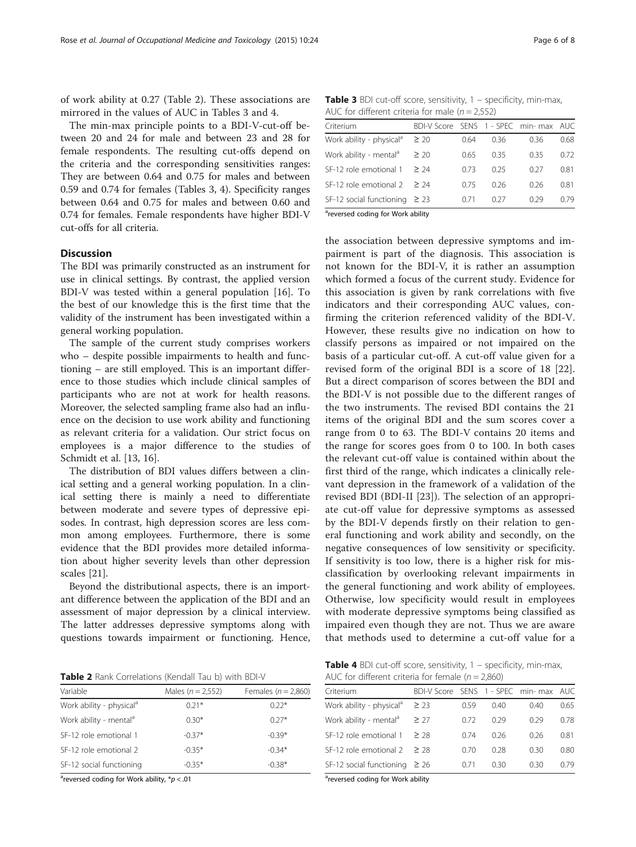of work ability at 0.27 (Table 2). These associations are mirrored in the values of AUC in Tables 3 and 4.

The min-max principle points to a BDI-V-cut-off between 20 and 24 for male and between 23 and 28 for female respondents. The resulting cut-offs depend on the criteria and the corresponding sensitivities ranges: They are between 0.64 and 0.75 for males and between 0.59 and 0.74 for females (Tables 3, 4). Specificity ranges between 0.64 and 0.75 for males and between 0.60 and 0.74 for females. Female respondents have higher BDI-V cut-offs for all criteria.

### **Discussion**

The BDI was primarily constructed as an instrument for use in clinical settings. By contrast, the applied version BDI-V was tested within a general population [\[16](#page-7-0)]. To the best of our knowledge this is the first time that the validity of the instrument has been investigated within a general working population.

The sample of the current study comprises workers who – despite possible impairments to health and functioning – are still employed. This is an important difference to those studies which include clinical samples of participants who are not at work for health reasons. Moreover, the selected sampling frame also had an influence on the decision to use work ability and functioning as relevant criteria for a validation. Our strict focus on employees is a major difference to the studies of Schmidt et al. [\[13](#page-7-0), [16\]](#page-7-0).

The distribution of BDI values differs between a clinical setting and a general working population. In a clinical setting there is mainly a need to differentiate between moderate and severe types of depressive episodes. In contrast, high depression scores are less common among employees. Furthermore, there is some evidence that the BDI provides more detailed information about higher severity levels than other depression scales [\[21\]](#page-7-0).

Beyond the distributional aspects, there is an important difference between the application of the BDI and an assessment of major depression by a clinical interview. The latter addresses depressive symptoms along with questions towards impairment or functioning. Hence,

Table 2 Rank Correlations (Kendall Tau b) with BDI-V

| Variable                             | Males ( $n = 2,552$ ) | Females ( $n = 2,860$ ) |
|--------------------------------------|-----------------------|-------------------------|
| Work ability - physical <sup>a</sup> | $0.21*$               | $0.22*$                 |
| Work ability - mental <sup>a</sup>   | $0.30*$               | $0.27*$                 |
| SF-12 role emotional 1               | $-0.37*$              | $-0.39*$                |
| SE-12 role emotional 2               | $-0.35*$              | $-0.34*$                |
| SF-12 social functioning             | $-0.35*$              | $-0.38*$                |
|                                      |                       |                         |

<sup>a</sup>reversed coding for Work ability,  $* p < .01$ 

Table 3 BDI cut-off score, sensitivity, 1 - specificity, min-max, AUC for different criteria for male ( $n = 2.552$ )

| Criterium                            | BDI-V Score SENS 1 - SPEC min- max AUC |      |      |      |      |
|--------------------------------------|----------------------------------------|------|------|------|------|
| Work ability - physical <sup>a</sup> | $\geq 20$                              | 0.64 | 0.36 | 0.36 | 0.68 |
| Work ability - mental <sup>a</sup>   | $\geq 20$                              | 0.65 | 035  | 0.35 | 0.72 |
| SF-12 role emotional 1               | > 24                                   | 0.73 | 025  | 0.27 | 0.81 |
| SF-12 role emotional $2 \geq 24$     |                                        | 0.75 | 026  | 0.26 | 0.81 |
| SF-12 social functioning $\geq$ 23   |                                        | 0.71 | 0.27 | O 29 | 0.79 |
|                                      |                                        |      |      |      |      |

<sup>a</sup>reversed coding for Work ability

the association between depressive symptoms and impairment is part of the diagnosis. This association is not known for the BDI-V, it is rather an assumption which formed a focus of the current study. Evidence for this association is given by rank correlations with five indicators and their corresponding AUC values, confirming the criterion referenced validity of the BDI-V. However, these results give no indication on how to classify persons as impaired or not impaired on the basis of a particular cut-off. A cut-off value given for a revised form of the original BDI is a score of 18 [\[22](#page-7-0)]. But a direct comparison of scores between the BDI and the BDI-V is not possible due to the different ranges of the two instruments. The revised BDI contains the 21 items of the original BDI and the sum scores cover a range from 0 to 63. The BDI-V contains 20 items and the range for scores goes from 0 to 100. In both cases the relevant cut-off value is contained within about the first third of the range, which indicates a clinically relevant depression in the framework of a validation of the revised BDI (BDI-II [\[23](#page-7-0)]). The selection of an appropriate cut-off value for depressive symptoms as assessed by the BDI-V depends firstly on their relation to general functioning and work ability and secondly, on the negative consequences of low sensitivity or specificity. If sensitivity is too low, there is a higher risk for misclassification by overlooking relevant impairments in the general functioning and work ability of employees. Otherwise, low specificity would result in employees with moderate depressive symptoms being classified as impaired even though they are not. Thus we are aware that methods used to determine a cut-off value for a

Table 4 BDI cut-off score, sensitivity, 1 - specificity, min-max, AUC for different criteria for female ( $n = 2,860$ )

| Criterium                            | BDI-V Score SENS 1 - SPEC min- max AUC |      |      |      |      |
|--------------------------------------|----------------------------------------|------|------|------|------|
| Work ability - physical <sup>a</sup> | $\geq$ 23                              | 0.59 | 0.40 | 0.40 | 0.65 |
| Work ability - mental <sup>a</sup>   | $\geq$ 27                              | 0.72 | 0.29 | 0.29 | 0.78 |
| SF-12 role emotional 1               | $\geq$ 28                              | 0.74 | 026  | 0.26 | 0.81 |
| SF-12 role emotional 2               | > 28                                   | 0.70 | 0.28 | 0.30 | 0.80 |
| SF-12 social functioning $\geq 26$   |                                        | 0.71 | 0.30 | 0.30 | 0.79 |

<sup>a</sup>reversed coding for Work ability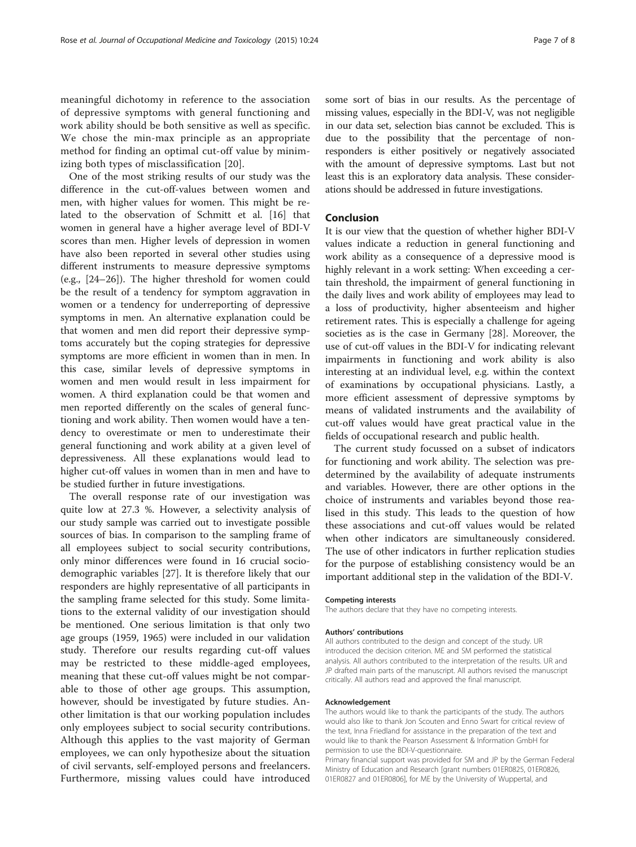meaningful dichotomy in reference to the association of depressive symptoms with general functioning and work ability should be both sensitive as well as specific. We chose the min-max principle as an appropriate method for finding an optimal cut-off value by minimizing both types of misclassification [\[20\]](#page-7-0).

One of the most striking results of our study was the difference in the cut-off-values between women and men, with higher values for women. This might be related to the observation of Schmitt et al. [\[16](#page-7-0)] that women in general have a higher average level of BDI-V scores than men. Higher levels of depression in women have also been reported in several other studies using different instruments to measure depressive symptoms (e.g., [\[24](#page-7-0)–[26\]](#page-7-0)). The higher threshold for women could be the result of a tendency for symptom aggravation in women or a tendency for underreporting of depressive symptoms in men. An alternative explanation could be that women and men did report their depressive symptoms accurately but the coping strategies for depressive symptoms are more efficient in women than in men. In this case, similar levels of depressive symptoms in women and men would result in less impairment for women. A third explanation could be that women and men reported differently on the scales of general functioning and work ability. Then women would have a tendency to overestimate or men to underestimate their general functioning and work ability at a given level of depressiveness. All these explanations would lead to higher cut-off values in women than in men and have to be studied further in future investigations.

The overall response rate of our investigation was quite low at 27.3 %. However, a selectivity analysis of our study sample was carried out to investigate possible sources of bias. In comparison to the sampling frame of all employees subject to social security contributions, only minor differences were found in 16 crucial sociodemographic variables [[27\]](#page-7-0). It is therefore likely that our responders are highly representative of all participants in the sampling frame selected for this study. Some limitations to the external validity of our investigation should be mentioned. One serious limitation is that only two age groups (1959, 1965) were included in our validation study. Therefore our results regarding cut-off values may be restricted to these middle-aged employees, meaning that these cut-off values might be not comparable to those of other age groups. This assumption, however, should be investigated by future studies. Another limitation is that our working population includes only employees subject to social security contributions. Although this applies to the vast majority of German employees, we can only hypothesize about the situation of civil servants, self-employed persons and freelancers. Furthermore, missing values could have introduced

some sort of bias in our results. As the percentage of missing values, especially in the BDI-V, was not negligible in our data set, selection bias cannot be excluded. This is due to the possibility that the percentage of nonresponders is either positively or negatively associated with the amount of depressive symptoms. Last but not least this is an exploratory data analysis. These considerations should be addressed in future investigations.

#### Conclusion

It is our view that the question of whether higher BDI-V values indicate a reduction in general functioning and work ability as a consequence of a depressive mood is highly relevant in a work setting: When exceeding a certain threshold, the impairment of general functioning in the daily lives and work ability of employees may lead to a loss of productivity, higher absenteeism and higher retirement rates. This is especially a challenge for ageing societies as is the case in Germany [[28\]](#page-7-0). Moreover, the use of cut-off values in the BDI-V for indicating relevant impairments in functioning and work ability is also interesting at an individual level, e.g. within the context of examinations by occupational physicians. Lastly, a more efficient assessment of depressive symptoms by means of validated instruments and the availability of cut-off values would have great practical value in the fields of occupational research and public health.

The current study focussed on a subset of indicators for functioning and work ability. The selection was predetermined by the availability of adequate instruments and variables. However, there are other options in the choice of instruments and variables beyond those realised in this study. This leads to the question of how these associations and cut-off values would be related when other indicators are simultaneously considered. The use of other indicators in further replication studies for the purpose of establishing consistency would be an important additional step in the validation of the BDI-V.

#### Competing interests

The authors declare that they have no competing interests.

#### Authors' contributions

All authors contributed to the design and concept of the study. UR introduced the decision criterion. ME and SM performed the statistical analysis. All authors contributed to the interpretation of the results. UR and JP drafted main parts of the manuscript. All authors revised the manuscript critically. All authors read and approved the final manuscript.

#### Acknowledgement

The authors would like to thank the participants of the study. The authors would also like to thank Jon Scouten and Enno Swart for critical review of the text, Inna Friedland for assistance in the preparation of the text and would like to thank the Pearson Assessment & Information GmbH for permission to use the BDI-V-questionnaire.

Primary financial support was provided for SM and JP by the German Federal Ministry of Education and Research [grant numbers 01ER0825, 01ER0826, 01ER0827 and 01ER0806], for ME by the University of Wuppertal, and